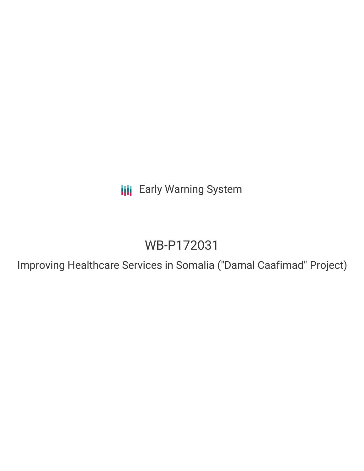**III** Early Warning System

# WB-P172031

Improving Healthcare Services in Somalia ("Damal Caafimad" Project)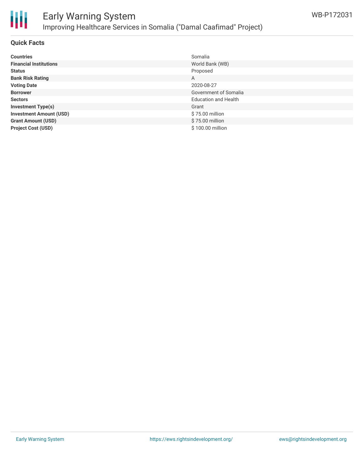

#### **Quick Facts**

| <b>Countries</b>               | Somalia                     |
|--------------------------------|-----------------------------|
| <b>Financial Institutions</b>  | World Bank (WB)             |
| <b>Status</b>                  | Proposed                    |
| <b>Bank Risk Rating</b>        | A                           |
| <b>Voting Date</b>             | 2020-08-27                  |
| <b>Borrower</b>                | Government of Somalia       |
| <b>Sectors</b>                 | <b>Education and Health</b> |
| <b>Investment Type(s)</b>      | Grant                       |
| <b>Investment Amount (USD)</b> | \$75.00 million             |
| <b>Grant Amount (USD)</b>      | \$75.00 million             |
| <b>Project Cost (USD)</b>      | \$100.00 million            |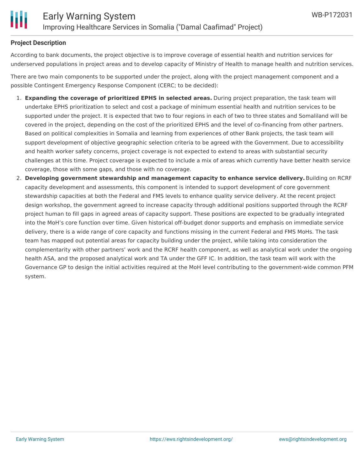#### **Project Description**

According to bank documents, the project objective is to improve coverage of essential health and nutrition services for underserved populations in project areas and to develop capacity of Ministry of Health to manage health and nutrition services.

There are two main components to be supported under the project, along with the project management component and a possible Contingent Emergency Response Component (CERC; to be decided):

- 1. **Expanding the coverage of prioritized EPHS in selected areas.** During project preparation, the task team will undertake EPHS prioritization to select and cost a package of minimum essential health and nutrition services to be supported under the project. It is expected that two to four regions in each of two to three states and Somaliland will be covered in the project, depending on the cost of the prioritized EPHS and the level of co-financing from other partners. Based on political complexities in Somalia and learning from experiences of other Bank projects, the task team will support development of objective geographic selection criteria to be agreed with the Government. Due to accessibility and health worker safety concerns, project coverage is not expected to extend to areas with substantial security challenges at this time. Project coverage is expected to include a mix of areas which currently have better health service coverage, those with some gaps, and those with no coverage.
- 2. **Developing government stewardship and management capacity to enhance service delivery.**Building on RCRF capacity development and assessments, this component is intended to support development of core government stewardship capacities at both the Federal and FMS levels to enhance quality service delivery. At the recent project design workshop, the government agreed to increase capacity through additional positions supported through the RCRF project human to fill gaps in agreed areas of capacity support. These positions are expected to be gradually integrated into the MoH's core function over time. Given historical off-budget donor supports and emphasis on immediate service delivery, there is a wide range of core capacity and functions missing in the current Federal and FMS MoHs. The task team has mapped out potential areas for capacity building under the project, while taking into consideration the complementarity with other partners' work and the RCRF health component, as well as analytical work under the ongoing health ASA, and the proposed analytical work and TA under the GFF IC. In addition, the task team will work with the Governance GP to design the initial activities required at the MoH level contributing to the government-wide common PFM system.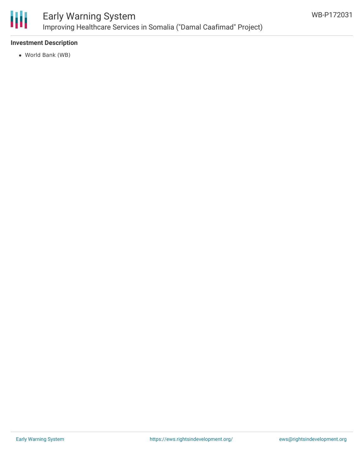

### Early Warning System Improving Healthcare Services in Somalia ("Damal Caafimad" Project)

#### **Investment Description**

World Bank (WB)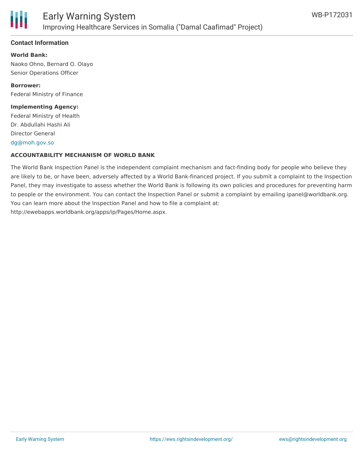

#### **Contact Information**

**World Bank:** Naoko Ohno, Bernard O. Olayo Senior Operations Officer

**Borrower:** Federal Ministry of Finance

#### **Implementing Agency:**

Federal Ministry of Health Dr. Abdullahi Hashi Ali Director General [dg@moh.gov.so](mailto:dg@moh.gov.so)

#### **ACCOUNTABILITY MECHANISM OF WORLD BANK**

The World Bank Inspection Panel is the independent complaint mechanism and fact-finding body for people who believe they are likely to be, or have been, adversely affected by a World Bank-financed project. If you submit a complaint to the Inspection Panel, they may investigate to assess whether the World Bank is following its own policies and procedures for preventing harm to people or the environment. You can contact the Inspection Panel or submit a complaint by emailing ipanel@worldbank.org. You can learn more about the Inspection Panel and how to file a complaint at: http://ewebapps.worldbank.org/apps/ip/Pages/Home.aspx.